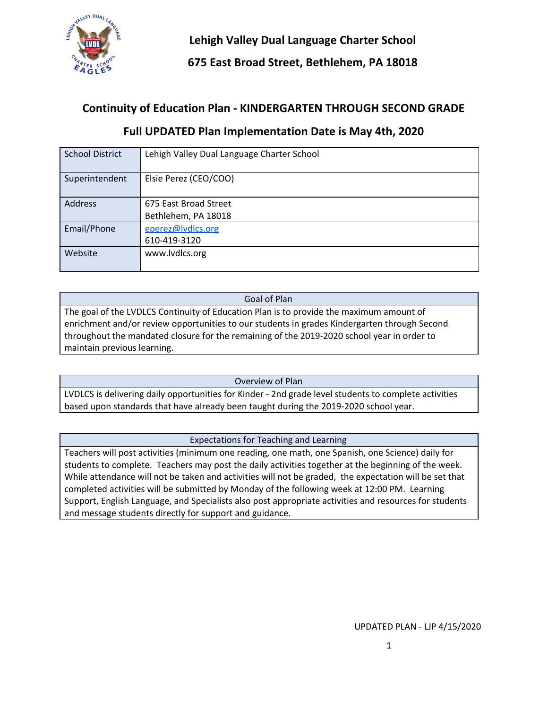

**675 East Broad Street, Bethlehem, PA 18018**

### **Continuity of Education Plan - KINDERGARTEN THROUGH SECOND GRADE**

| <b>School District</b> | Lehigh Valley Dual Language Charter School |
|------------------------|--------------------------------------------|
| Superintendent         | Elsie Perez (CEO/COO)                      |
| <b>Address</b>         | 675 East Broad Street                      |
|                        | Bethlehem, PA 18018                        |
| Email/Phone            | eperez@lvdlcs.org                          |
|                        | 610-419-3120                               |
| Website                | www.lvdlcs.org                             |

### **Full UPDATED Plan Implementation Date is May 4th, 2020**

Goal of Plan The goal of the LVDLCS Continuity of Education Plan is to provide the maximum amount of enrichment and/or review opportunities to our students in grades Kindergarten through Second throughout the mandated closure for the remaining of the 2019-2020 school year in order to maintain previous learning.

Overview of Plan

LVDLCS is delivering daily opportunities for Kinder - 2nd grade level students to complete activities based upon standards that have already been taught during the 2019-2020 school year.

Expectations for Teaching and Learning

Teachers will post activities (minimum one reading, one math, one Spanish, one Science) daily for students to complete. Teachers may post the daily activities together at the beginning of the week. While attendance will not be taken and activities will not be graded, the expectation will be set that completed activities will be submitted by Monday of the following week at 12:00 PM. Learning Support, English Language, and Specialists also post appropriate activities and resources for students and message students directly for support and guidance.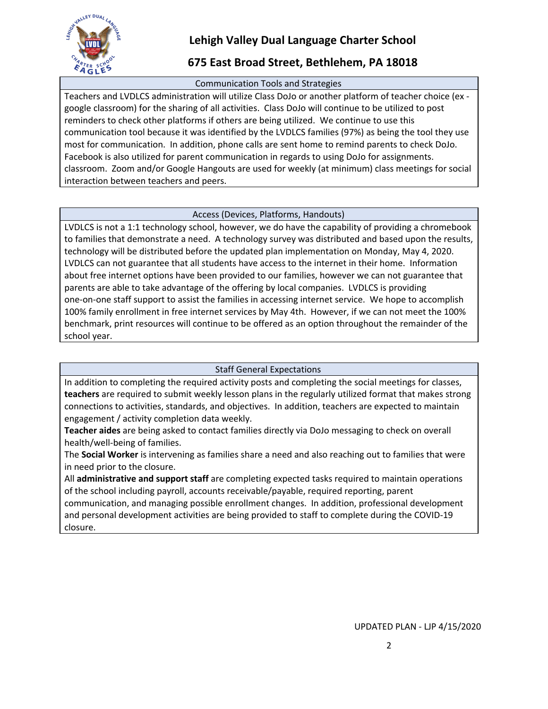

### **675 East Broad Street, Bethlehem, PA 18018**

### Communication Tools and Strategies

Teachers and LVDLCS administration will utilize Class DoJo or another platform of teacher choice (ex google classroom) for the sharing of all activities. Class DoJo will continue to be utilized to post reminders to check other platforms if others are being utilized. We continue to use this communication tool because it was identified by the LVDLCS families (97%) as being the tool they use most for communication. In addition, phone calls are sent home to remind parents to check DoJo. Facebook is also utilized for parent communication in regards to using DoJo for assignments. classroom. Zoom and/or Google Hangouts are used for weekly (at minimum) class meetings for social interaction between teachers and peers.

### Access (Devices, Platforms, Handouts)

LVDLCS is not a 1:1 technology school, however, we do have the capability of providing a chromebook to families that demonstrate a need. A technology survey was distributed and based upon the results, technology will be distributed before the updated plan implementation on Monday, May 4, 2020. LVDLCS can not guarantee that all students have access to the internet in their home. Information about free internet options have been provided to our families, however we can not guarantee that parents are able to take advantage of the offering by local companies. LVDLCS is providing one-on-one staff support to assist the families in accessing internet service. We hope to accomplish 100% family enrollment in free internet services by May 4th. However, if we can not meet the 100% benchmark, print resources will continue to be offered as an option throughout the remainder of the school year.

### Staff General Expectations

In addition to completing the required activity posts and completing the social meetings for classes, **teachers** are required to submit weekly lesson plans in the regularly utilized format that makes strong connections to activities, standards, and objectives. In addition, teachers are expected to maintain engagement / activity completion data weekly.

**Teacher aides** are being asked to contact families directly via DoJo messaging to check on overall health/well-being of families.

The **Social Worker** is intervening as families share a need and also reaching out to families that were in need prior to the closure.

All **administrative and support staff** are completing expected tasks required to maintain operations of the school including payroll, accounts receivable/payable, required reporting, parent communication, and managing possible enrollment changes. In addition, professional development and personal development activities are being provided to staff to complete during the COVID-19 closure.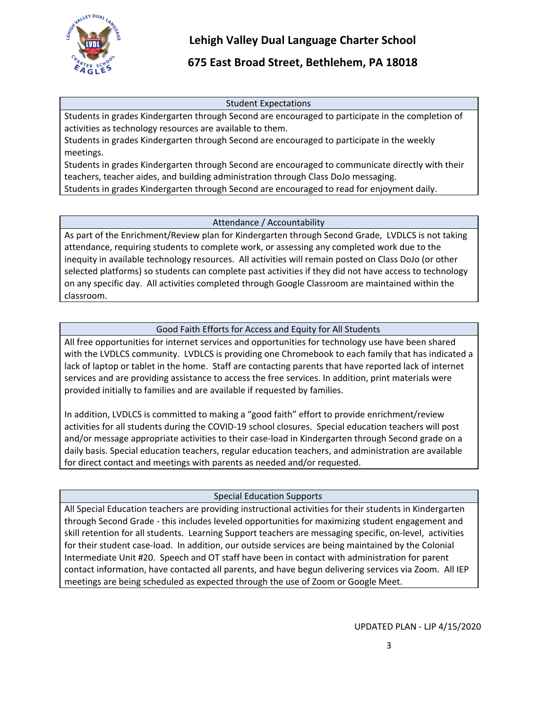

### **675 East Broad Street, Bethlehem, PA 18018**

#### Student Expectations

Students in grades Kindergarten through Second are encouraged to participate in the completion of activities as technology resources are available to them.

Students in grades Kindergarten through Second are encouraged to participate in the weekly meetings.

Students in grades Kindergarten through Second are encouraged to communicate directly with their teachers, teacher aides, and building administration through Class DoJo messaging.

Students in grades Kindergarten through Second are encouraged to read for enjoyment daily.

### Attendance / Accountability

As part of the Enrichment/Review plan for Kindergarten through Second Grade, LVDLCS is not taking attendance, requiring students to complete work, or assessing any completed work due to the inequity in available technology resources. All activities will remain posted on Class DoJo (or other selected platforms) so students can complete past activities if they did not have access to technology on any specific day. All activities completed through Google Classroom are maintained within the classroom.

### Good Faith Efforts for Access and Equity for All Students

All free opportunities for internet services and opportunities for technology use have been shared with the LVDLCS community. LVDLCS is providing one Chromebook to each family that has indicated a lack of laptop or tablet in the home. Staff are contacting parents that have reported lack of internet services and are providing assistance to access the free services. In addition, print materials were provided initially to families and are available if requested by families.

In addition, LVDLCS is committed to making a "good faith" effort to provide enrichment/review activities for all students during the COVID-19 school closures. Special education teachers will post and/or message appropriate activities to their case-load in Kindergarten through Second grade on a daily basis. Special education teachers, regular education teachers, and administration are available for direct contact and meetings with parents as needed and/or requested.

### Special Education Supports

All Special Education teachers are providing instructional activities for their students in Kindergarten through Second Grade - this includes leveled opportunities for maximizing student engagement and skill retention for all students. Learning Support teachers are messaging specific, on-level, activities for their student case-load. In addition, our outside services are being maintained by the Colonial Intermediate Unit #20. Speech and OT staff have been in contact with administration for parent contact information, have contacted all parents, and have begun delivering services via Zoom. All IEP meetings are being scheduled as expected through the use of Zoom or Google Meet.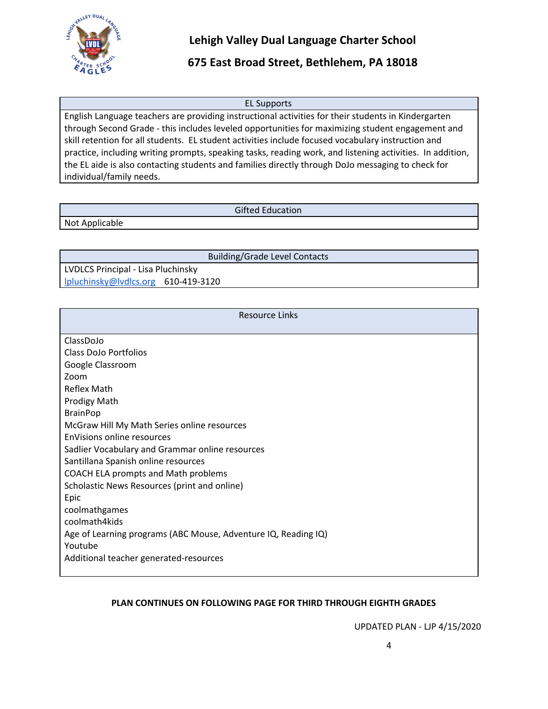

### **675 East Broad Street, Bethlehem, PA 18018**

#### EL Supports

English Language teachers are providing instructional activities for their students in Kindergarten through Second Grade - this includes leveled opportunities for maximizing student engagement and skill retention for all students. EL student activities include focused vocabulary instruction and practice, including writing prompts, speaking tasks, reading work, and listening activities. In addition, the EL aide is also contacting students and families directly through DoJo messaging to check for individual/family needs.

#### Gifted Education

Not Applicable

Building/Grade Level Contacts

LVDLCS Principal - Lisa Pluchinsky [lpluchinsky@lvdlcs.org](mailto:lpluchinsky@lvdlcs.org) 610-419-3120

| <b>Resource Links</b>                                          |  |  |
|----------------------------------------------------------------|--|--|
| ClassDoJo                                                      |  |  |
| Class DoJo Portfolios                                          |  |  |
| Google Classroom                                               |  |  |
| Zoom                                                           |  |  |
| Reflex Math                                                    |  |  |
| Prodigy Math                                                   |  |  |
| <b>BrainPop</b>                                                |  |  |
| McGraw Hill My Math Series online resources                    |  |  |
| EnVisions online resources                                     |  |  |
| Sadlier Vocabulary and Grammar online resources                |  |  |
| Santillana Spanish online resources                            |  |  |
| COACH ELA prompts and Math problems                            |  |  |
| Scholastic News Resources (print and online)                   |  |  |
| Epic                                                           |  |  |
| coolmathgames                                                  |  |  |
| coolmath4kids                                                  |  |  |
| Age of Learning programs (ABC Mouse, Adventure IQ, Reading IQ) |  |  |
| Youtube                                                        |  |  |
| Additional teacher generated-resources                         |  |  |

### **PLAN CONTINUES ON FOLLOWING PAGE FOR THIRD THROUGH EIGHTH GRADES**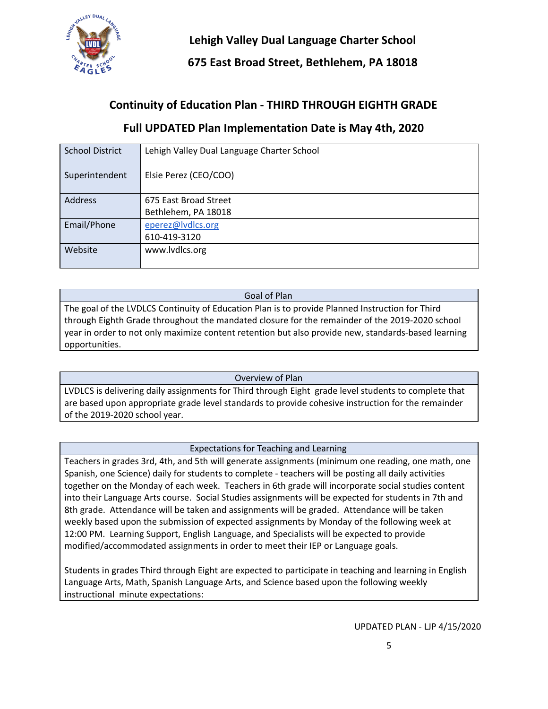

**675 East Broad Street, Bethlehem, PA 18018**

# **Continuity of Education Plan - THIRD THROUGH EIGHTH GRADE**

### **Full UPDATED Plan Implementation Date is May 4th, 2020**

| <b>School District</b> | Lehigh Valley Dual Language Charter School |
|------------------------|--------------------------------------------|
| Superintendent         | Elsie Perez (CEO/COO)                      |
| Address                | 675 East Broad Street                      |
|                        | Bethlehem, PA 18018                        |
| Email/Phone            | eperez@lvdlcs.org                          |
|                        | 610-419-3120                               |
| Website                | www.lvdlcs.org                             |
|                        |                                            |

#### Goal of Plan

The goal of the LVDLCS Continuity of Education Plan is to provide Planned Instruction for Third through Eighth Grade throughout the mandated closure for the remainder of the 2019-2020 school year in order to not only maximize content retention but also provide new, standards-based learning opportunities.

### Overview of Plan

LVDLCS is delivering daily assignments for Third through Eight grade level students to complete that are based upon appropriate grade level standards to provide cohesive instruction for the remainder of the 2019-2020 school year.

#### Expectations for Teaching and Learning

Teachers in grades 3rd, 4th, and 5th will generate assignments (minimum one reading, one math, one Spanish, one Science) daily for students to complete - teachers will be posting all daily activities together on the Monday of each week. Teachers in 6th grade will incorporate social studies content into their Language Arts course. Social Studies assignments will be expected for students in 7th and 8th grade. Attendance will be taken and assignments will be graded. Attendance will be taken weekly based upon the submission of expected assignments by Monday of the following week at 12:00 PM. Learning Support, English Language, and Specialists will be expected to provide modified/accommodated assignments in order to meet their IEP or Language goals.

Students in grades Third through Eight are expected to participate in teaching and learning in English Language Arts, Math, Spanish Language Arts, and Science based upon the following weekly instructional minute expectations: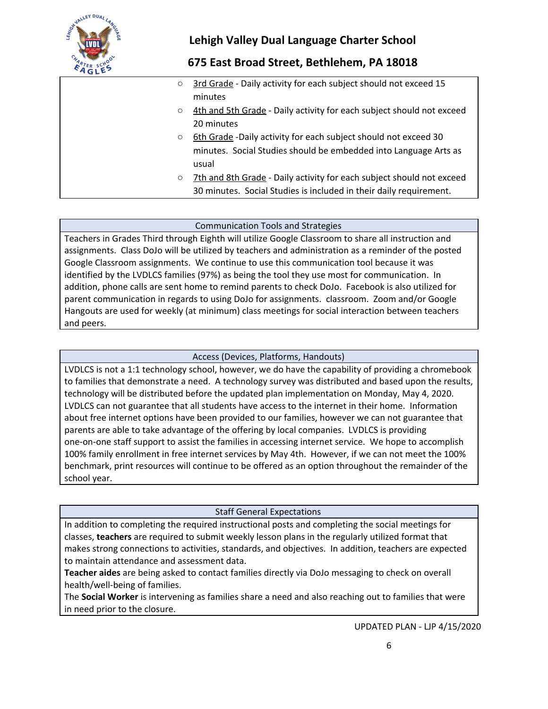

### **675 East Broad Street, Bethlehem, PA 18018**

- 3rd Grade Daily activity for each subject should not exceed 15 minutes
- 4th and 5th Grade Daily activity for each subject should not exceed 20 minutes
- 6th Grade -Daily activity for each subject should not exceed 30 minutes. Social Studies should be embedded into Language Arts as usual
- 7th and 8th Grade Daily activity for each subject should not exceed 30 minutes. Social Studies is included in their daily requirement.

#### Communication Tools and Strategies

Teachers in Grades Third through Eighth will utilize Google Classroom to share all instruction and assignments. Class DoJo will be utilized by teachers and administration as a reminder of the posted Google Classroom assignments. We continue to use this communication tool because it was identified by the LVDLCS families (97%) as being the tool they use most for communication. In addition, phone calls are sent home to remind parents to check DoJo. Facebook is also utilized for parent communication in regards to using DoJo for assignments. classroom. Zoom and/or Google Hangouts are used for weekly (at minimum) class meetings for social interaction between teachers and peers.

### Access (Devices, Platforms, Handouts)

LVDLCS is not a 1:1 technology school, however, we do have the capability of providing a chromebook to families that demonstrate a need. A technology survey was distributed and based upon the results, technology will be distributed before the updated plan implementation on Monday, May 4, 2020. LVDLCS can not guarantee that all students have access to the internet in their home. Information about free internet options have been provided to our families, however we can not guarantee that parents are able to take advantage of the offering by local companies. LVDLCS is providing one-on-one staff support to assist the families in accessing internet service. We hope to accomplish 100% family enrollment in free internet services by May 4th. However, if we can not meet the 100% benchmark, print resources will continue to be offered as an option throughout the remainder of the school year.

#### Staff General Expectations

In addition to completing the required instructional posts and completing the social meetings for classes, **teachers** are required to submit weekly lesson plans in the regularly utilized format that makes strong connections to activities, standards, and objectives. In addition, teachers are expected to maintain attendance and assessment data.

**Teacher aides** are being asked to contact families directly via DoJo messaging to check on overall health/well-being of families.

The **Social Worker** is intervening as families share a need and also reaching out to families that were in need prior to the closure.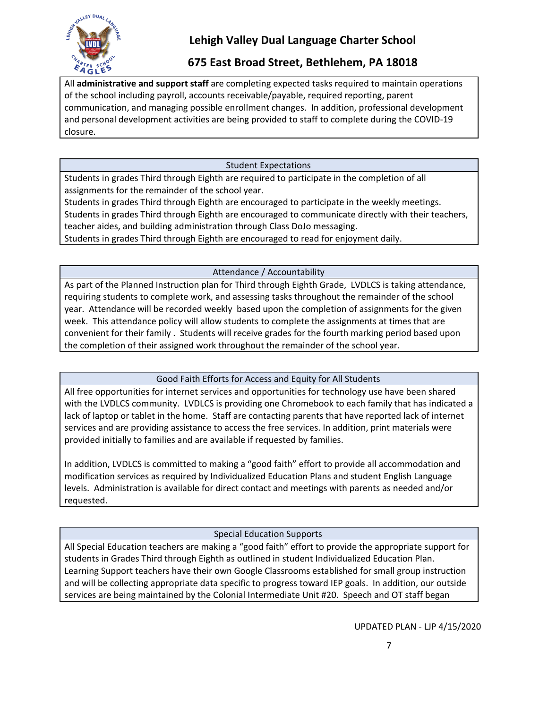

### **675 East Broad Street, Bethlehem, PA 18018**

All **administrative and support staff** are completing expected tasks required to maintain operations of the school including payroll, accounts receivable/payable, required reporting, parent communication, and managing possible enrollment changes. In addition, professional development and personal development activities are being provided to staff to complete during the COVID-19 closure.

### Student Expectations

Students in grades Third through Eighth are required to participate in the completion of all assignments for the remainder of the school year.

Students in grades Third through Eighth are encouraged to participate in the weekly meetings. Students in grades Third through Eighth are encouraged to communicate directly with their teachers, teacher aides, and building administration through Class DoJo messaging.

Students in grades Third through Eighth are encouraged to read for enjoyment daily.

Attendance / Accountability

As part of the Planned Instruction plan for Third through Eighth Grade, LVDLCS is taking attendance, requiring students to complete work, and assessing tasks throughout the remainder of the school year. Attendance will be recorded weekly based upon the completion of assignments for the given week. This attendance policy will allow students to complete the assignments at times that are convenient for their family . Students will receive grades for the fourth marking period based upon the completion of their assigned work throughout the remainder of the school year.

### Good Faith Efforts for Access and Equity for All Students

All free opportunities for internet services and opportunities for technology use have been shared with the LVDLCS community. LVDLCS is providing one Chromebook to each family that has indicated a lack of laptop or tablet in the home. Staff are contacting parents that have reported lack of internet services and are providing assistance to access the free services. In addition, print materials were provided initially to families and are available if requested by families.

In addition, LVDLCS is committed to making a "good faith" effort to provide all accommodation and modification services as required by Individualized Education Plans and student English Language levels. Administration is available for direct contact and meetings with parents as needed and/or requested.

### Special Education Supports

All Special Education teachers are making a "good faith" effort to provide the appropriate support for students in Grades Third through Eighth as outlined in student Individualized Education Plan. Learning Support teachers have their own Google Classrooms established for small group instruction and will be collecting appropriate data specific to progress toward IEP goals. In addition, our outside services are being maintained by the Colonial Intermediate Unit #20. Speech and OT staff began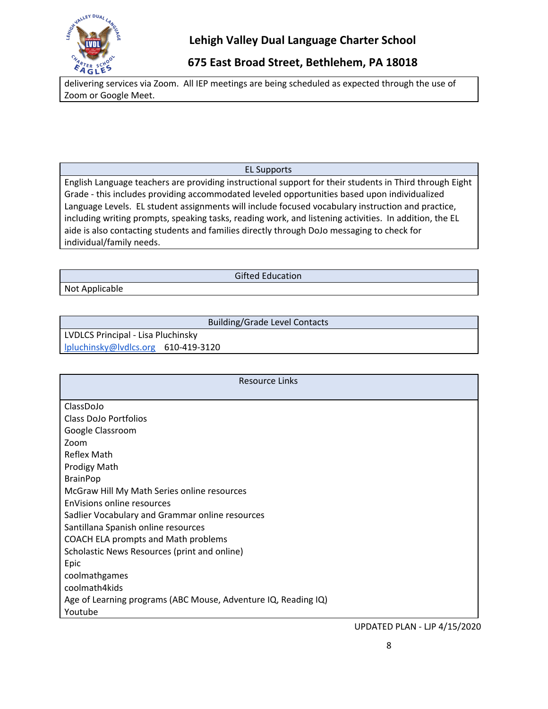

# **675 East Broad Street, Bethlehem, PA 18018**

delivering services via Zoom. All IEP meetings are being scheduled as expected through the use of Zoom or Google Meet.

### EL Supports

English Language teachers are providing instructional support for their students in Third through Eight Grade - this includes providing accommodated leveled opportunities based upon individualized Language Levels. EL student assignments will include focused vocabulary instruction and practice, including writing prompts, speaking tasks, reading work, and listening activities. In addition, the EL aide is also contacting students and families directly through DoJo messaging to check for individual/family needs.

Not Applicable

Gifted Education

Building/Grade Level Contacts

LVDLCS Principal - Lisa Pluchinsky [lpluchinsky@lvdlcs.org](mailto:lpluchinsky@lvdlcs.org) 610-419-3120

| Resource Links                                                 |  |  |
|----------------------------------------------------------------|--|--|
|                                                                |  |  |
| ClassDoJo                                                      |  |  |
| Class DoJo Portfolios                                          |  |  |
| Google Classroom                                               |  |  |
| Zoom                                                           |  |  |
| Reflex Math                                                    |  |  |
| <b>Prodigy Math</b>                                            |  |  |
| <b>BrainPop</b>                                                |  |  |
| McGraw Hill My Math Series online resources                    |  |  |
| EnVisions online resources                                     |  |  |
| Sadlier Vocabulary and Grammar online resources                |  |  |
| Santillana Spanish online resources                            |  |  |
| COACH ELA prompts and Math problems                            |  |  |
| Scholastic News Resources (print and online)                   |  |  |
| Epic                                                           |  |  |
| coolmathgames                                                  |  |  |
| coolmath4kids                                                  |  |  |
| Age of Learning programs (ABC Mouse, Adventure IQ, Reading IQ) |  |  |
| Youtube                                                        |  |  |